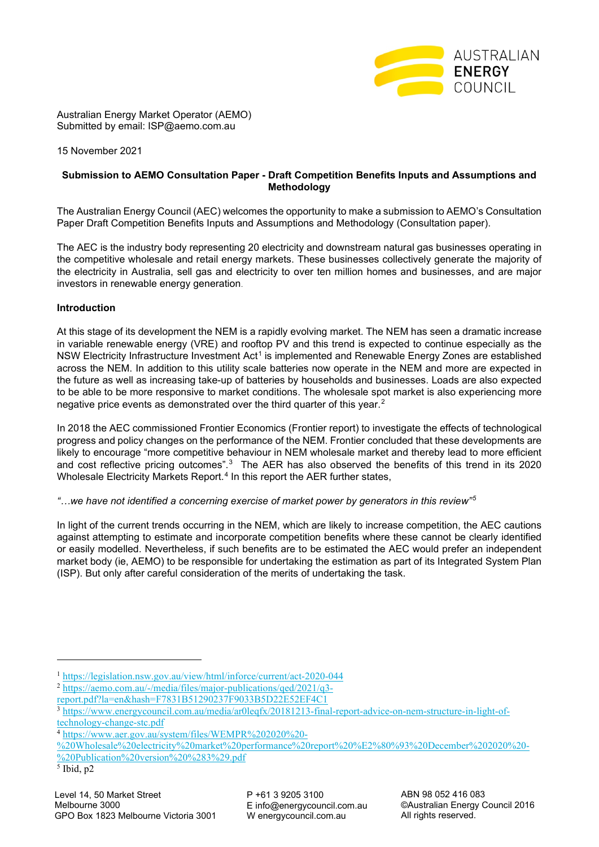

Australian Energy Market Operator (AEMO) Submitted by email: ISP@aemo.com.au

15 November 2021

# **Submission to AEMO Consultation Paper - Draft Competition Benefits Inputs and Assumptions and Methodology**

The Australian Energy Council (AEC) welcomes the opportunity to make a submission to AEMO's Consultation Paper Draft Competition Benefits Inputs and Assumptions and Methodology (Consultation paper).

The AEC is the industry body representing 20 electricity and downstream natural gas businesses operating in the competitive wholesale and retail energy markets. These businesses collectively generate the majority of the electricity in Australia, sell gas and electricity to over ten million homes and businesses, and are major investors in renewable energy generation.

## **Introduction**

At this stage of its development the NEM is a rapidly evolving market. The NEM has seen a dramatic increase in variable renewable energy (VRE) and rooftop PV and this trend is expected to continue especially as the NSW Electricity Infrastructure Investment Act<sup>[1](#page-0-0)</sup> is implemented and Renewable Energy Zones are established across the NEM. In addition to this utility scale batteries now operate in the NEM and more are expected in the future as well as increasing take-up of batteries by households and businesses. Loads are also expected to be able to be more responsive to market conditions. The wholesale spot market is also experiencing more negative price events as demonstrated over the third quarter of this year. [2](#page-0-1)

In 2018 the AEC commissioned Frontier Economics (Frontier report) to investigate the effects of technological progress and policy changes on the performance of the NEM. Frontier concluded that these developments are likely to encourage "more competitive behaviour in NEM wholesale market and thereby lead to more efficient and cost reflective pricing outcomes".[3](#page-0-2) The AER has also observed the benefits of this trend in its 2020 Wholesale Electricity Markets Report.<sup>[4](#page-0-3)</sup> In this report the AER further states,

*"…we have not identified a concerning exercise of market power by generators in this review"[5](#page-0-4)*

In light of the current trends occurring in the NEM, which are likely to increase competition, the AEC cautions against attempting to estimate and incorporate competition benefits where these cannot be clearly identified or easily modelled. Nevertheless, if such benefits are to be estimated the AEC would prefer an independent market body (ie, AEMO) to be responsible for undertaking the estimation as part of its Integrated System Plan (ISP). But only after careful consideration of the merits of undertaking the task.

[%20Wholesale%20electricity%20market%20performance%20report%20%E2%80%93%20December%202020%20-](https://www.aer.gov.au/system/files/WEMPR%202020%20-%20Wholesale%20electricity%20market%20performance%20report%20%E2%80%93%20December%202020%20-%20Publication%20version%20%283%29.pdf) [%20Publication%20version%20%283%29.pdf](https://www.aer.gov.au/system/files/WEMPR%202020%20-%20Wholesale%20electricity%20market%20performance%20report%20%E2%80%93%20December%202020%20-%20Publication%20version%20%283%29.pdf)

<span id="page-0-4"></span> $\overline{5}$  Ibid, p2

<sup>1</sup> <https://legislation.nsw.gov.au/view/html/inforce/current/act-2020-044>

<span id="page-0-1"></span><span id="page-0-0"></span><sup>2</sup> [https://aemo.com.au/-/media/files/major-publications/qed/2021/q3-](https://aemo.com.au/-/media/files/major-publications/qed/2021/q3-report.pdf?la=en&hash=F7831B51290237F9033B5D22E52EF4C1)

[report.pdf?la=en&hash=F7831B51290237F9033B5D22E52EF4C1](https://aemo.com.au/-/media/files/major-publications/qed/2021/q3-report.pdf?la=en&hash=F7831B51290237F9033B5D22E52EF4C1)

<span id="page-0-2"></span><sup>3</sup> [https://www.energycouncil.com.au/media/ar0leqfx/20181213-final-report-advice-on-nem-structure-in-light-of](https://www.energycouncil.com.au/media/ar0leqfx/20181213-final-report-advice-on-nem-structure-in-light-of-technology-change-stc.pdf)[technology-change-stc.pdf](https://www.energycouncil.com.au/media/ar0leqfx/20181213-final-report-advice-on-nem-structure-in-light-of-technology-change-stc.pdf)

<span id="page-0-3"></span><sup>&</sup>lt;sup>4</sup> [https://www.aer.gov.au/system/files/WEMPR%202020%20-](https://www.aer.gov.au/system/files/WEMPR%202020%20-%20Wholesale%20electricity%20market%20performance%20report%20%E2%80%93%20December%202020%20-%20Publication%20version%20%283%29.pdf)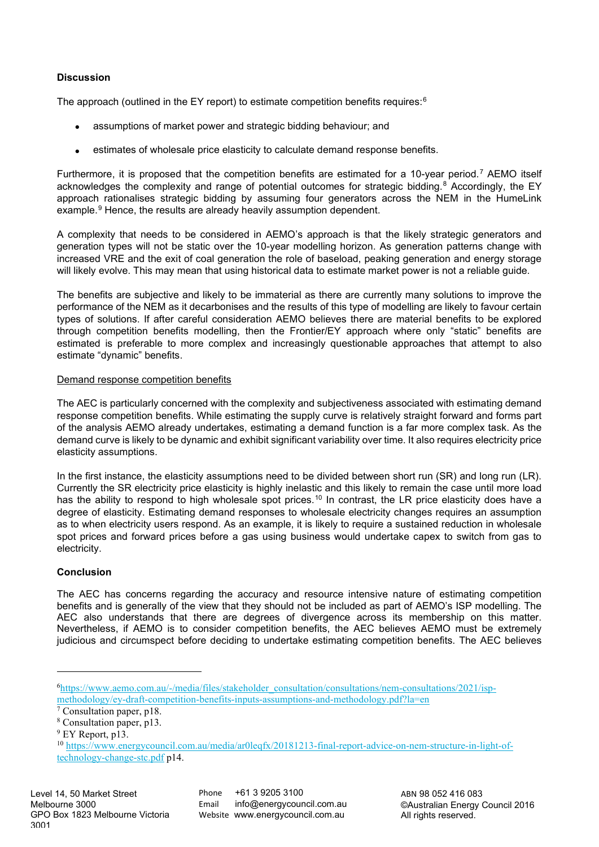# **Discussion**

The approach (outlined in the EY report) to estimate competition benefits requires: $6$ 

- assumptions of market power and strategic bidding behaviour; and
- estimates of wholesale price elasticity to calculate demand response benefits.

Furthermore, it is proposed that the competition benefits are estimated for a 10-year period.<sup>[7](#page-1-1)</sup> AEMO itself acknowledges the complexity and range of potential outcomes for strategic bidding.<sup>[8](#page-1-2)</sup> Accordingly, the EY approach rationalises strategic bidding by assuming four generators across the NEM in the HumeLink example.<sup>[9](#page-1-3)</sup> Hence, the results are already heavily assumption dependent.

A complexity that needs to be considered in AEMO's approach is that the likely strategic generators and generation types will not be static over the 10-year modelling horizon. As generation patterns change with increased VRE and the exit of coal generation the role of baseload, peaking generation and energy storage will likely evolve. This may mean that using historical data to estimate market power is not a reliable guide.

The benefits are subjective and likely to be immaterial as there are currently many solutions to improve the performance of the NEM as it decarbonises and the results of this type of modelling are likely to favour certain types of solutions. If after careful consideration AEMO believes there are material benefits to be explored through competition benefits modelling, then the Frontier/EY approach where only "static" benefits are estimated is preferable to more complex and increasingly questionable approaches that attempt to also estimate "dynamic" benefits.

### Demand response competition benefits

The AEC is particularly concerned with the complexity and subjectiveness associated with estimating demand response competition benefits. While estimating the supply curve is relatively straight forward and forms part of the analysis AEMO already undertakes, estimating a demand function is a far more complex task. As the demand curve is likely to be dynamic and exhibit significant variability over time. It also requires electricity price elasticity assumptions.

In the first instance, the elasticity assumptions need to be divided between short run (SR) and long run (LR). Currently the SR electricity price elasticity is highly inelastic and this likely to remain the case until more load has the ability to respond to high wholesale spot prices.<sup>[10](#page-1-4)</sup> In contrast, the LR price elasticity does have a degree of elasticity. Estimating demand responses to wholesale electricity changes requires an assumption as to when electricity users respond. As an example, it is likely to require a sustained reduction in wholesale spot prices and forward prices before a gas using business would undertake capex to switch from gas to electricity.

## **Conclusion**

The AEC has concerns regarding the accuracy and resource intensive nature of estimating competition benefits and is generally of the view that they should not be included as part of AEMO's ISP modelling. The AEC also understands that there are degrees of divergence across its membership on this matter. Nevertheless, if AEMO is to consider competition benefits, the AEC believes AEMO must be extremely judicious and circumspect before deciding to undertake estimating competition benefits. The AEC believes

Phone +61 3 9205 3100 Email info@energycouncil.com.au Website www.energycouncil.com.au

<span id="page-1-0"></span><sup>6</sup> [https://www.aemo.com.au/-/media/files/stakeholder\\_consultation/consultations/nem-consultations/2021/isp](https://www.aemo.com.au/-/media/files/stakeholder_consultation/consultations/nem-consultations/2021/isp-methodology/ey-draft-competition-benefits-inputs-assumptions-and-methodology.pdf?la=en)[methodology/ey-draft-competition-benefits-inputs-assumptions-and-methodology.pdf?la=en](https://www.aemo.com.au/-/media/files/stakeholder_consultation/consultations/nem-consultations/2021/isp-methodology/ey-draft-competition-benefits-inputs-assumptions-and-methodology.pdf?la=en)

<span id="page-1-1"></span><sup>7</sup> Consultation paper, p18.

<span id="page-1-2"></span><sup>8</sup> Consultation paper, p13.

<span id="page-1-3"></span><sup>&</sup>lt;sup>9</sup> EY Report, p13.

<span id="page-1-4"></span><sup>10</sup> [https://www.energycouncil.com.au/media/ar0leqfx/20181213-final-report-advice-on-nem-structure-in-light-of](https://www.energycouncil.com.au/media/ar0leqfx/20181213-final-report-advice-on-nem-structure-in-light-of-technology-change-stc.pdf)[technology-change-stc.pdf](https://www.energycouncil.com.au/media/ar0leqfx/20181213-final-report-advice-on-nem-structure-in-light-of-technology-change-stc.pdf) p14.